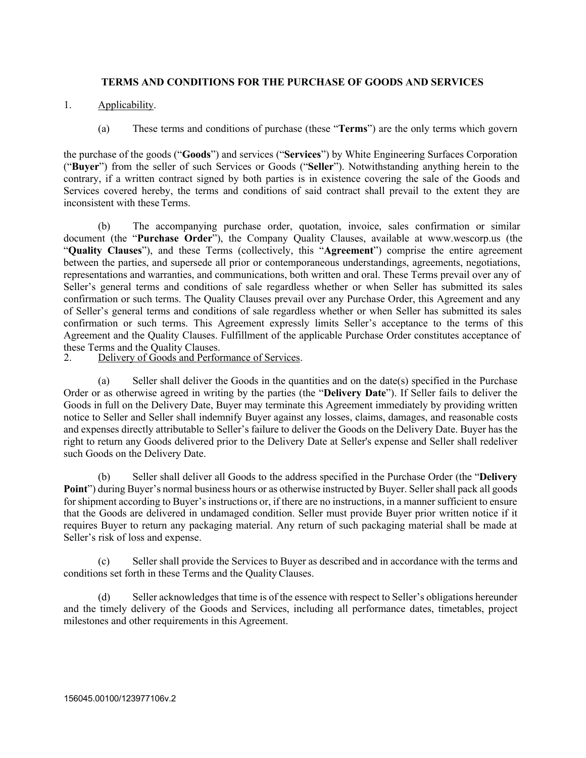## **TERMS AND CONDITIONS FOR THE PURCHASE OF GOODS AND SERVICES**

- 1. Applicability.
	- (a) These terms and conditions of purchase (these "**Terms**") are the only terms which govern

the purchase of the goods ("**Goods**") and services ("**Services**") by White Engineering Surfaces Corporation ("**Buyer**") from the seller of such Services or Goods ("**Seller**"). Notwithstanding anything herein to the contrary, if a written contract signed by both parties is in existence covering the sale of the Goods and Services covered hereby, the terms and conditions of said contract shall prevail to the extent they are inconsistent with these Terms.

(b) The accompanying purchase order, quotation, invoice, sales confirmation or similar document (the "**Purchase Order**"), the Company Quality Clauses, available at www.wescorp.us (the "**Quality Clauses**"), and these Terms (collectively, this "**Agreement**") comprise the entire agreement between the parties, and supersede all prior or contemporaneous understandings, agreements, negotiations, representations and warranties, and communications, both written and oral. These Terms prevail over any of Seller's general terms and conditions of sale regardless whether or when Seller has submitted its sales confirmation or such terms. The Quality Clauses prevail over any Purchase Order, this Agreement and any of Seller's general terms and conditions of sale regardless whether or when Seller has submitted its sales confirmation or such terms. This Agreement expressly limits Seller's acceptance to the terms of this Agreement and the Quality Clauses. Fulfillment of the applicable Purchase Order constitutes acceptance of these Terms and the Quality Clauses.<br>2. Delivery of Goods and Perfor

Delivery of Goods and Performance of Services.

(a) Seller shall deliver the Goods in the quantities and on the date(s) specified in the Purchase Order or as otherwise agreed in writing by the parties (the "**Delivery Date**"). If Seller fails to deliver the Goods in full on the Delivery Date, Buyer may terminate this Agreement immediately by providing written notice to Seller and Seller shall indemnify Buyer against any losses, claims, damages, and reasonable costs and expenses directly attributable to Seller's failure to deliver the Goods on the Delivery Date. Buyer has the right to return any Goods delivered prior to the Delivery Date at Seller's expense and Seller shall redeliver such Goods on the Delivery Date.

(b) Seller shall deliver all Goods to the address specified in the Purchase Order (the "**Delivery Point**") during Buyer's normal business hours or as otherwise instructed by Buyer. Seller shall pack all goods for shipment according to Buyer's instructions or, if there are no instructions, in a manner sufficient to ensure that the Goods are delivered in undamaged condition. Seller must provide Buyer prior written notice if it requires Buyer to return any packaging material. Any return of such packaging material shall be made at Seller's risk of loss and expense.

(c) Seller shall provide the Services to Buyer as described and in accordance with the terms and conditions set forth in these Terms and the QualityClauses.

(d) Seller acknowledges that time is of the essence with respect to Seller's obligations hereunder and the timely delivery of the Goods and Services, including all performance dates, timetables, project milestones and other requirements in this Agreement.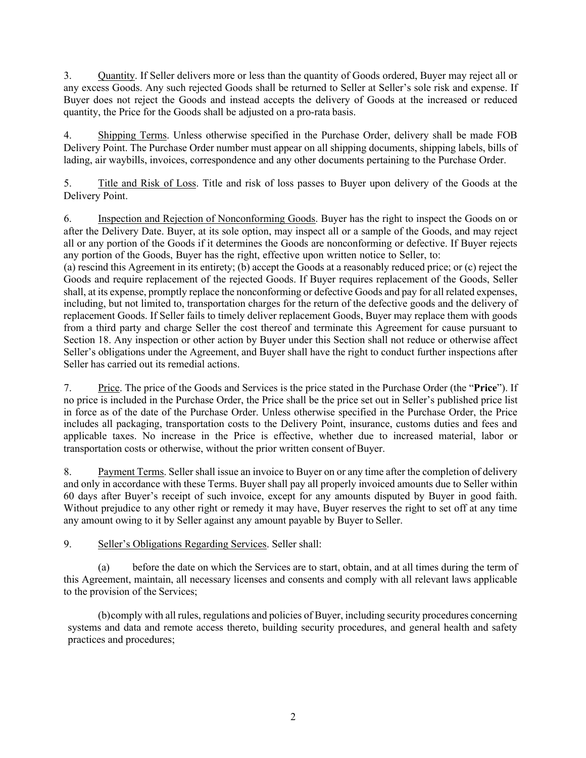3. Quantity. If Seller delivers more or less than the quantity of Goods ordered, Buyer may reject all or any excess Goods. Any such rejected Goods shall be returned to Seller at Seller's sole risk and expense. If Buyer does not reject the Goods and instead accepts the delivery of Goods at the increased or reduced quantity, the Price for the Goods shall be adjusted on a pro-rata basis.

4. Shipping Terms. Unless otherwise specified in the Purchase Order, delivery shall be made FOB Delivery Point. The Purchase Order number must appear on all shipping documents, shipping labels, bills of lading, air waybills, invoices, correspondence and any other documents pertaining to the Purchase Order.

5. Title and Risk of Loss. Title and risk of loss passes to Buyer upon delivery of the Goods at the Delivery Point.

6. Inspection and Rejection of Nonconforming Goods. Buyer has the right to inspect the Goods on or after the Delivery Date. Buyer, at its sole option, may inspect all or a sample of the Goods, and may reject all or any portion of the Goods if it determines the Goods are nonconforming or defective. If Buyer rejects any portion of the Goods, Buyer has the right, effective upon written notice to Seller, to:

(a) rescind this Agreement in its entirety; (b) accept the Goods at a reasonably reduced price; or (c) reject the Goods and require replacement of the rejected Goods. If Buyer requires replacement of the Goods, Seller shall, at its expense, promptly replace the nonconforming or defective Goods and pay for all related expenses, including, but not limited to, transportation charges for the return of the defective goods and the delivery of replacement Goods. If Seller fails to timely deliver replacement Goods, Buyer may replace them with goods from a third party and charge Seller the cost thereof and terminate this Agreement for cause pursuant to Section 18. Any inspection or other action by Buyer under this Section shall not reduce or otherwise affect Seller's obligations under the Agreement, and Buyer shall have the right to conduct further inspections after Seller has carried out its remedial actions.

7. Price. The price of the Goods and Services is the price stated in the Purchase Order (the "**Price**"). If no price is included in the Purchase Order, the Price shall be the price set out in Seller's published price list in force as of the date of the Purchase Order. Unless otherwise specified in the Purchase Order, the Price includes all packaging, transportation costs to the Delivery Point, insurance, customs duties and fees and applicable taxes. No increase in the Price is effective, whether due to increased material, labor or transportation costs or otherwise, without the prior written consent ofBuyer.

8. Payment Terms. Seller shall issue an invoice to Buyer on or any time after the completion of delivery and only in accordance with these Terms. Buyer shall pay all properly invoiced amounts due to Seller within 60 days after Buyer's receipt of such invoice, except for any amounts disputed by Buyer in good faith. Without prejudice to any other right or remedy it may have, Buyer reserves the right to set off at any time any amount owing to it by Seller against any amount payable by Buyer to Seller.

9. Seller's Obligations Regarding Services. Seller shall:

(a) before the date on which the Services are to start, obtain, and at all times during the term of this Agreement, maintain, all necessary licenses and consents and comply with all relevant laws applicable to the provision of the Services;

(b)comply with all rules, regulations and policies of Buyer, including security procedures concerning systems and data and remote access thereto, building security procedures, and general health and safety practices and procedures;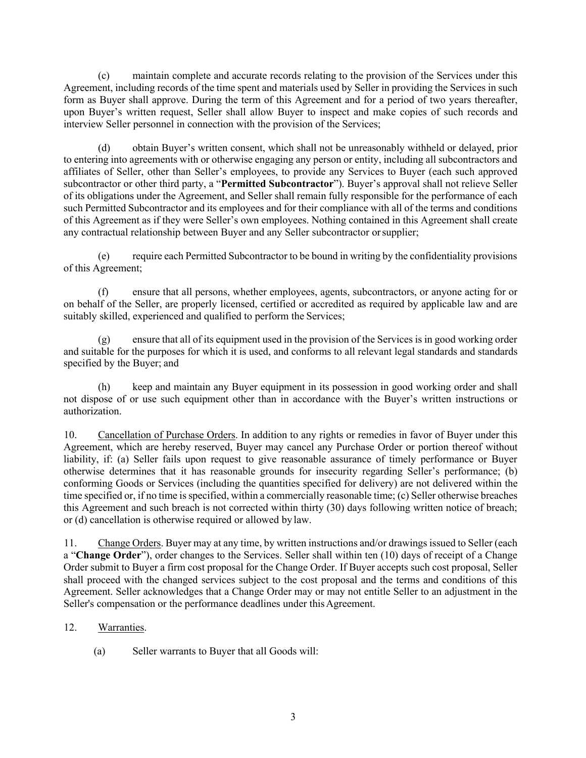(c) maintain complete and accurate records relating to the provision of the Services under this Agreement, including records of the time spent and materials used by Seller in providing the Services in such form as Buyer shall approve. During the term of this Agreement and for a period of two years thereafter, upon Buyer's written request, Seller shall allow Buyer to inspect and make copies of such records and interview Seller personnel in connection with the provision of the Services;

(d) obtain Buyer's written consent, which shall not be unreasonably withheld or delayed, prior to entering into agreements with or otherwise engaging any person or entity, including all subcontractors and affiliates of Seller, other than Seller's employees, to provide any Services to Buyer (each such approved subcontractor or other third party, a "**Permitted Subcontractor**"). Buyer's approval shall not relieve Seller of its obligations under the Agreement, and Seller shall remain fully responsible for the performance of each such Permitted Subcontractor and its employees and for their compliance with all of the terms and conditions of this Agreement as if they were Seller's own employees. Nothing contained in this Agreement shall create any contractual relationship between Buyer and any Seller subcontractor orsupplier;

(e) require each Permitted Subcontractor to be bound in writing by the confidentiality provisions of this Agreement;

(f) ensure that all persons, whether employees, agents, subcontractors, or anyone acting for or on behalf of the Seller, are properly licensed, certified or accredited as required by applicable law and are suitably skilled, experienced and qualified to perform the Services;

(g) ensure that all of its equipment used in the provision of the Services is in good working order and suitable for the purposes for which it is used, and conforms to all relevant legal standards and standards specified by the Buyer; and

(h) keep and maintain any Buyer equipment in its possession in good working order and shall not dispose of or use such equipment other than in accordance with the Buyer's written instructions or authorization.

10. Cancellation of Purchase Orders. In addition to any rights or remedies in favor of Buyer under this Agreement, which are hereby reserved, Buyer may cancel any Purchase Order or portion thereof without liability, if: (a) Seller fails upon request to give reasonable assurance of timely performance or Buyer otherwise determines that it has reasonable grounds for insecurity regarding Seller's performance; (b) conforming Goods or Services (including the quantities specified for delivery) are not delivered within the time specified or, if no time is specified, within a commercially reasonable time; (c) Seller otherwise breaches this Agreement and such breach is not corrected within thirty (30) days following written notice of breach; or (d) cancellation is otherwise required or allowed by law.

11. Change Orders. Buyer may at any time, by written instructions and/or drawings issued to Seller (each a "**Change Order**"), order changes to the Services. Seller shall within ten (10) days of receipt of a Change Order submit to Buyer a firm cost proposal for the Change Order. If Buyer accepts such cost proposal, Seller shall proceed with the changed services subject to the cost proposal and the terms and conditions of this Agreement. Seller acknowledges that a Change Order may or may not entitle Seller to an adjustment in the Seller's compensation or the performance deadlines under this Agreement.

- 12. Warranties.
	- (a) Seller warrants to Buyer that all Goods will: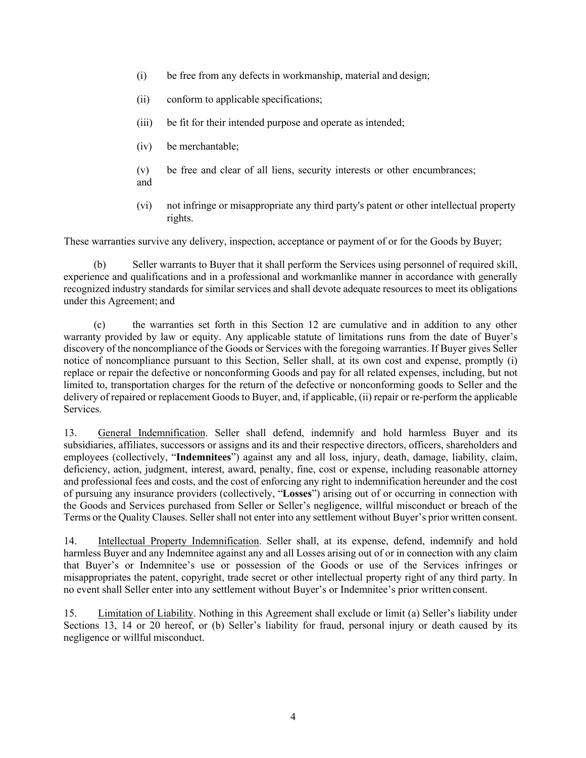- (i) be free from any defects in workmanship, material and design;
- (ii) conform to applicable specifications;
- (iii) be fit for their intended purpose and operate as intended;
- (iv) be merchantable;
- (v) be free and clear of all liens, security interests or other encumbrances; and
- (vi) not infringe or misappropriate any third party's patent or other intellectual property rights.

These warranties survive any delivery, inspection, acceptance or payment of or for the Goods by Buyer;

(b) Seller warrants to Buyer that it shall perform the Services using personnel of required skill, experience and qualifications and in a professional and workmanlike manner in accordance with generally recognized industry standards for similar services and shall devote adequate resources to meet its obligations under this Agreement; and

(c) the warranties set forth in this Section 12 are cumulative and in addition to any other warranty provided by law or equity. Any applicable statute of limitations runs from the date of Buyer's discovery of the noncompliance of the Goods or Services with the foregoing warranties. If Buyer gives Seller notice of noncompliance pursuant to this Section, Seller shall, at its own cost and expense, promptly (i) replace or repair the defective or nonconforming Goods and pay for all related expenses, including, but not limited to, transportation charges for the return of the defective or nonconforming goods to Seller and the delivery of repaired or replacement Goods to Buyer, and, if applicable, (ii) repair or re-perform the applicable Services.

13. General Indemnification. Seller shall defend, indemnify and hold harmless Buyer and its subsidiaries, affiliates, successors or assigns and its and their respective directors, officers, shareholders and employees (collectively, "**Indemnitees**") against any and all loss, injury, death, damage, liability, claim, deficiency, action, judgment, interest, award, penalty, fine, cost or expense, including reasonable attorney and professional fees and costs, and the cost of enforcing any right to indemnification hereunder and the cost of pursuing any insurance providers (collectively, "**Losses**") arising out of or occurring in connection with the Goods and Services purchased from Seller or Seller's negligence, willful misconduct or breach of the Terms or the Quality Clauses. Seller shall not enter into any settlement without Buyer's prior written consent.

14. Intellectual Property Indemnification. Seller shall, at its expense, defend, indemnify and hold harmless Buyer and any Indemnitee against any and all Losses arising out of or in connection with any claim that Buyer's or Indemnitee's use or possession of the Goods or use of the Services infringes or misappropriates the patent, copyright, trade secret or other intellectual property right of any third party. In no event shall Seller enter into any settlement without Buyer's or Indemnitee's prior written consent.

15. Limitation of Liability. Nothing in this Agreement shall exclude or limit (a) Seller's liability under Sections 13, 14 or 20 hereof, or (b) Seller's liability for fraud, personal injury or death caused by its negligence or willful misconduct.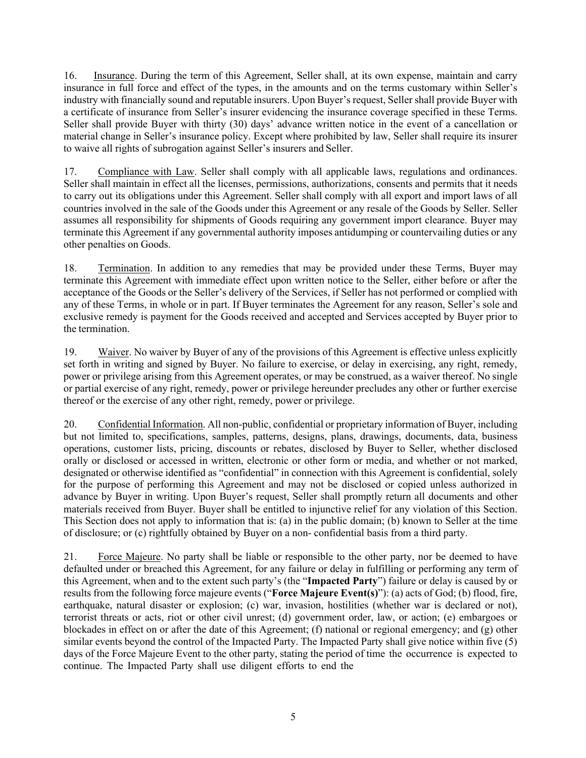16. Insurance. During the term of this Agreement, Seller shall, at its own expense, maintain and carry insurance in full force and effect of the types, in the amounts and on the terms customary within Seller's industry with financially sound and reputable insurers. Upon Buyer's request, Seller shall provide Buyer with a certificate of insurance from Seller's insurer evidencing the insurance coverage specified in these Terms. Seller shall provide Buyer with thirty (30) days' advance written notice in the event of a cancellation or material change in Seller's insurance policy. Except where prohibited by law, Seller shall require its insurer to waive all rights of subrogation against Seller's insurers and Seller.

17. Compliance with Law. Seller shall comply with all applicable laws, regulations and ordinances. Seller shall maintain in effect all the licenses, permissions, authorizations, consents and permits that it needs to carry out its obligations under this Agreement. Seller shall comply with all export and import laws of all countries involved in the sale of the Goods under this Agreement or any resale of the Goods by Seller. Seller assumes all responsibility for shipments of Goods requiring any government import clearance. Buyer may terminate this Agreement if any governmental authority imposes antidumping or countervailing duties or any other penalties on Goods.

18. Termination. In addition to any remedies that may be provided under these Terms, Buyer may terminate this Agreement with immediate effect upon written notice to the Seller, either before or after the acceptance of the Goods or the Seller's delivery of the Services, if Seller has not performed or complied with any of these Terms, in whole or in part. If Buyer terminates the Agreement for any reason, Seller's sole and exclusive remedy is payment for the Goods received and accepted and Services accepted by Buyer prior to the termination.

19. Waiver. No waiver by Buyer of any of the provisions of this Agreement is effective unless explicitly set forth in writing and signed by Buyer. No failure to exercise, or delay in exercising, any right, remedy, power or privilege arising from this Agreement operates, or may be construed, as a waiver thereof. No single or partial exercise of any right, remedy, power or privilege hereunder precludes any other or further exercise thereof or the exercise of any other right, remedy, power or privilege.

20. Confidential Information. All non-public, confidential or proprietary information of Buyer, including but not limited to, specifications, samples, patterns, designs, plans, drawings, documents, data, business operations, customer lists, pricing, discounts or rebates, disclosed by Buyer to Seller, whether disclosed orally or disclosed or accessed in written, electronic or other form or media, and whether or not marked, designated or otherwise identified as "confidential" in connection with this Agreement is confidential, solely for the purpose of performing this Agreement and may not be disclosed or copied unless authorized in advance by Buyer in writing. Upon Buyer's request, Seller shall promptly return all documents and other materials received from Buyer. Buyer shall be entitled to injunctive relief for any violation of this Section. This Section does not apply to information that is: (a) in the public domain; (b) known to Seller at the time of disclosure; or (c) rightfully obtained by Buyer on a non- confidential basis from a third party.

21. Force Majeure. No party shall be liable or responsible to the other party, nor be deemed to have defaulted under or breached this Agreement, for any failure or delay in fulfilling or performing any term of this Agreement, when and to the extent such party's (the "**Impacted Party**") failure or delay is caused by or results from the following force majeure events ("**Force Majeure Event(s)**"): (a) acts of God; (b) flood, fire, earthquake, natural disaster or explosion; (c) war, invasion, hostilities (whether war is declared or not), terrorist threats or acts, riot or other civil unrest; (d) government order, law, or action; (e) embargoes or blockades in effect on or after the date of this Agreement; (f) national or regional emergency; and (g) other similar events beyond the control of the Impacted Party. The Impacted Party shall give notice within five (5) days of the Force Majeure Event to the other party, stating the period of time the occurrence is expected to continue. The Impacted Party shall use diligent efforts to end the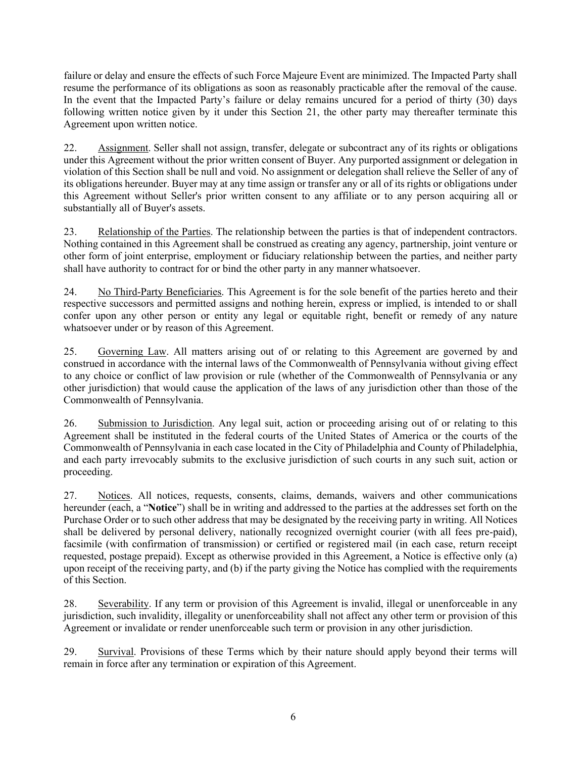failure or delay and ensure the effects of such Force Majeure Event are minimized. The Impacted Party shall resume the performance of its obligations as soon as reasonably practicable after the removal of the cause. In the event that the Impacted Party's failure or delay remains uncured for a period of thirty (30) days following written notice given by it under this Section 21, the other party may thereafter terminate this Agreement upon written notice.

22. Assignment. Seller shall not assign, transfer, delegate or subcontract any of its rights or obligations under this Agreement without the prior written consent of Buyer. Any purported assignment or delegation in violation of this Section shall be null and void. No assignment or delegation shall relieve the Seller of any of its obligations hereunder. Buyer may at any time assign or transfer any or all of its rights or obligations under this Agreement without Seller's prior written consent to any affiliate or to any person acquiring all or substantially all of Buyer's assets.

23. Relationship of the Parties. The relationship between the parties is that of independent contractors. Nothing contained in this Agreement shall be construed as creating any agency, partnership, joint venture or other form of joint enterprise, employment or fiduciary relationship between the parties, and neither party shall have authority to contract for or bind the other party in any manner whatsoever.

24. No Third-Party Beneficiaries. This Agreement is for the sole benefit of the parties hereto and their respective successors and permitted assigns and nothing herein, express or implied, is intended to or shall confer upon any other person or entity any legal or equitable right, benefit or remedy of any nature whatsoever under or by reason of this Agreement.

25. Governing Law. All matters arising out of or relating to this Agreement are governed by and construed in accordance with the internal laws of the Commonwealth of Pennsylvania without giving effect to any choice or conflict of law provision or rule (whether of the Commonwealth of Pennsylvania or any other jurisdiction) that would cause the application of the laws of any jurisdiction other than those of the Commonwealth of Pennsylvania.

26. Submission to Jurisdiction. Any legal suit, action or proceeding arising out of or relating to this Agreement shall be instituted in the federal courts of the United States of America or the courts of the Commonwealth of Pennsylvania in each case located in the City of Philadelphia and County of Philadelphia, and each party irrevocably submits to the exclusive jurisdiction of such courts in any such suit, action or proceeding.

27. Notices. All notices, requests, consents, claims, demands, waivers and other communications hereunder (each, a "**Notice**") shall be in writing and addressed to the parties at the addresses set forth on the Purchase Order or to such other address that may be designated by the receiving party in writing. All Notices shall be delivered by personal delivery, nationally recognized overnight courier (with all fees pre-paid), facsimile (with confirmation of transmission) or certified or registered mail (in each case, return receipt requested, postage prepaid). Except as otherwise provided in this Agreement, a Notice is effective only (a) upon receipt of the receiving party, and (b) if the party giving the Notice has complied with the requirements of this Section.

28. Severability. If any term or provision of this Agreement is invalid, illegal or unenforceable in any jurisdiction, such invalidity, illegality or unenforceability shall not affect any other term or provision of this Agreement or invalidate or render unenforceable such term or provision in any other jurisdiction.

29. Survival. Provisions of these Terms which by their nature should apply beyond their terms will remain in force after any termination or expiration of this Agreement.